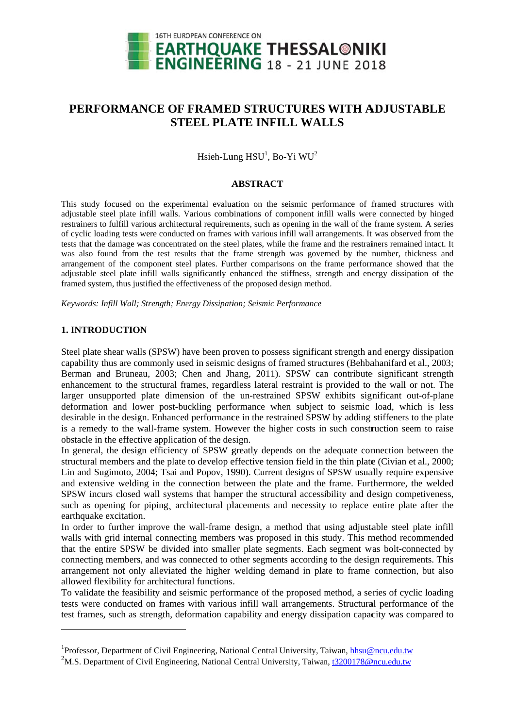

# PERFORMANCE OF FRAMED STRUCTURES WITH ADJUSTABLE **STEEL PLATE INFILL WALLS**

Hsieh-Lung HSU<sup>1</sup>, Bo-Yi WU<sup>2</sup>

## **ABSTRACT**

This study focused on the experimental evaluation on the seismic performance of framed structures with adjustable steel plate infill walls. Various combinations of component infill walls were connected by hinged restrainers to fulfill various architectural requirements, such as opening in the wall of the frame system. A series of cyclic loading tests were conducted on frames with various infill wall arrangements. It was observed from the tests that the damage was concentrated on the steel plates, while the frame and the restrainers remained intact. It was also found from the test results that the frame strength was governed by the number, thickness and arrangement of the component steel plates. Further comparisons on the frame performance showed that the adjustable steel plate infill walls significantly enhanced the stiffness, strength and energy dissipation of the framed system, thus justified the effectiveness of the proposed design method.

Keywords: Infill Wall; Strength; Energy Dissipation; Seismic Performance

## **1. INTRODUCTION**

Steel plate shear walls (SPSW) have been proven to possess significant strength and energy dissipation capability thus are commonly used in seismic designs of framed structures (Behbahanifard et al., 2003; Berman and Bruneau, 2003; Chen and Jhang, 2011). SPSW can contribute significant strength enhancement to the structural frames, regardless lateral restraint is provided to the wall or not. The larger unsupported plate dimension of the un-restrained SPSW exhibits significant out-of-plane deformation and lower post-buckling performance when subject to seismic load, which is less desirable in the design. Enhanced performance in the restrained SPSW by adding stiffeners to the plate is a remedy to the wall-frame system. However the higher costs in such construction seem to raise obstacle in the effective application of the design.

In general, the design efficiency of SPSW greatly depends on the adequate connection between the structural members and the plate to develop effective tension field in the thin plate (Civian et al., 2000; Lin and Sugimoto, 2004; Tsai and Popov, 1990). Current designs of SPSW usually require expensive and extensive welding in the connection between the plate and the frame. Furthermore, the welded SPSW incurs closed wall systems that hamper the structural accessibility and design competiveness, such as opening for piping, architectural placements and necessity to replace entire plate after the earthquake excitation.

In order to further improve the wall-frame design, a method that using adjustable steel plate infill walls with grid internal connecting members was proposed in this study. This method recommended that the entire SPSW be divided into smaller plate segments. Each segment was bolt-connected by connecting members, and was connected to other segments according to the design requirements. This arrangement not only alleviated the higher welding demand in plate to frame connection, but also allowed flexibility for architectural functions.

To validate the feasibility and seismic performance of the proposed method, a series of cyclic loading tests were conducted on frames with various infill wall arrangements. Structural performance of the test frames, such as strength, deformation capability and energy dissipation capacity was compared to

<sup>&</sup>lt;sup>1</sup>Professor, Department of Civil Engineering, National Central University, Taiwan, hhsu@ncu.edu.tw

<sup>&</sup>lt;sup>2</sup>M.S. Department of Civil Engineering, National Central University, Taiwan, t3200178@ncu.edu.tw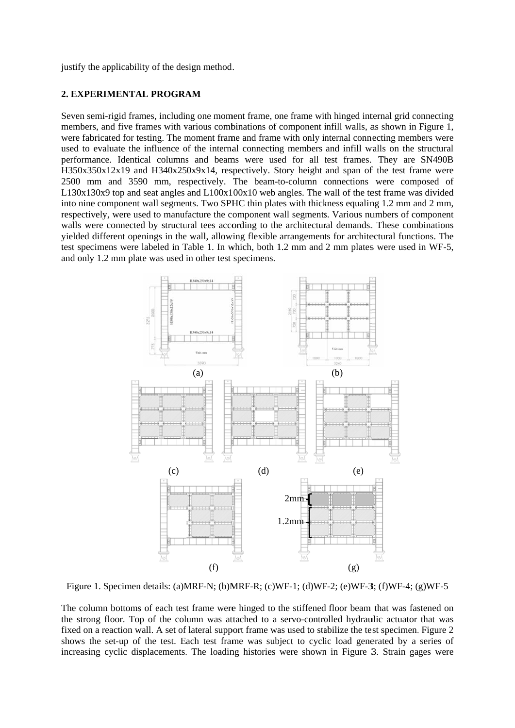justify the applicability of the design method.

## **2. EXPERIMENTAL PROGRAM**

Seven semi-rigid frames, including one moment frame, one frame with hinged internal grid connecting members, and five frames with various combinations of component infill walls, as shown in Figure 1, were fabricated for testing. The moment frame and frame with only internal connecting members were used to evaluate the influence of the internal connecting members and infill walls on the structural performance. Identical columns and beams were used for all test frames. They are SN490B H350x350x12x19 and H340x250x9x14, respectively. Story height and span of the test frame were 2500 mm and 3590 mm, respectively. The beam-to-column connections were composed of L130x130x9 top and seat angles and L100x100x10 web angles. The wall of the test frame was divided into nine component wall segments. Two SPHC thin plates with thickness equaling 1.2 mm and 2 mm, respectively, were used to manufacture the component wall segments. Various numbers of component walls were connected by structural tees according to the architectural demands. These combinations yielded different openings in the wall, allowing flexible arrangements for architectural functions. The test specimens were labeled in Table 1. In which, both 1.2 mm and 2 mm plates were used in WF-5, and only 1.2 mm plate was used in other test specimens.



Figure 1. Specimen details: (a)MRF-N; (b)MRF-R; (c)WF-1; (d)WF-2; (e)WF-3; (f)WF-4; (g)WF-5

The column bottoms of each test frame were hinged to the stiffened floor beam that was fastened on the strong floor. Top of the column was attached to a servo-controlled hydraulic actuator that was fixed on a reaction wall. A set of lateral support frame was used to stabilize the test specimen. Figure 2 shows the set-up of the test. Each test frame was subject to cyclic load generated by a series of increasing cyclic displacements. The loading histories were shown in Figure 3. Strain gages were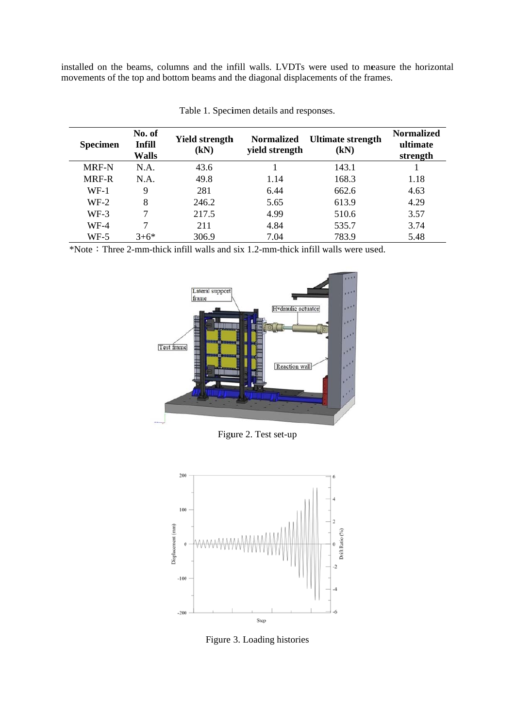installed on the beams, columns and the infill walls. LVDTs were used to measure the horizontal movements of the top and bottom beams and the diagonal displacements of the frames.

| <b>Specimen</b> | No. of<br><b>Infill</b><br>Walls | Yield strength<br>(kN) | <b>Normalized</b><br>yield strength | <b>Ultimate strength</b><br>(kN) | <b>Normalized</b><br>ultimate<br>strength |
|-----------------|----------------------------------|------------------------|-------------------------------------|----------------------------------|-------------------------------------------|
| MRF-N           | N.A.                             | 43.6                   |                                     | 143.1                            |                                           |
| <b>MRF-R</b>    | N.A.                             | 49.8                   | 1.14                                | 168.3                            | 1.18                                      |
| $WF-1$          | 9                                | 281                    | 6.44                                | 662.6                            | 4.63                                      |
| $WF-2$          | 8                                | 246.2                  | 5.65                                | 613.9                            | 4.29                                      |
| $WF-3$          |                                  | 217.5                  | 4.99                                | 510.6                            | 3.57                                      |
| $WF-4$          |                                  | 211                    | 4.84                                | 535.7                            | 3.74                                      |
| WF-5            | $3+6*$                           | 306.9                  | 7.04                                | 783.9                            | 5.48                                      |

|  | Table 1. Specimen details and responses. |  |  |  |
|--|------------------------------------------|--|--|--|
|--|------------------------------------------|--|--|--|

\*Note: Three 2-mm-thick infill walls and six 1.2-mm-thick infill walls were used.



Figure 2. Test set-up



Figure 3. Loading histories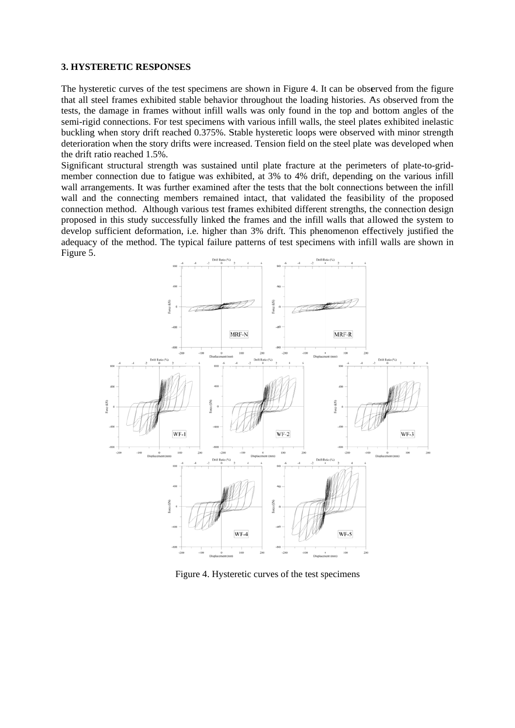#### **3. HYSTERETIC RESPONSES**

The hysteretic curves of the test specimens are shown in Figure 4. It can be observed from the figure that all steel frames exhibited stable behavior throughout the loading histories. As observed from the tests, the damage in frames without infill walls was only found in the top and bottom angles of the semi-rigid connections. For test specimens with various infill walls, the steel plates exhibited inelastic buckling when story drift reached 0.375%. Stable hysteretic loops were observed with minor strength deterioration when the story drifts were increased. Tension field on the steel plate was developed when the drift ratio reached d 1.5%.

Significant structural strength was sustained until plate fracture at the perimeters of plate-to-gridmember connection due to fatigue was exhibited, at 3% to 4% drift, depending on the various infill wall arrangements. It was further examined after the tests that the bolt connections between the infill wall and the connecting members remained intact, that validated the feasibility of the proposed connection method. Although various test frames exhibited different strengths, the connection design proposed in this study successfully linked the frames and the infill walls that allowed the system to develop sufficient deformation, i.e. higher than 3% drift. This phenomenon effectively justified the adequacy of the method. The typical failure patterns of test specimens with infill walls are shown in Figure 5 .



Figure 4. Hysteretic curves of the test specimens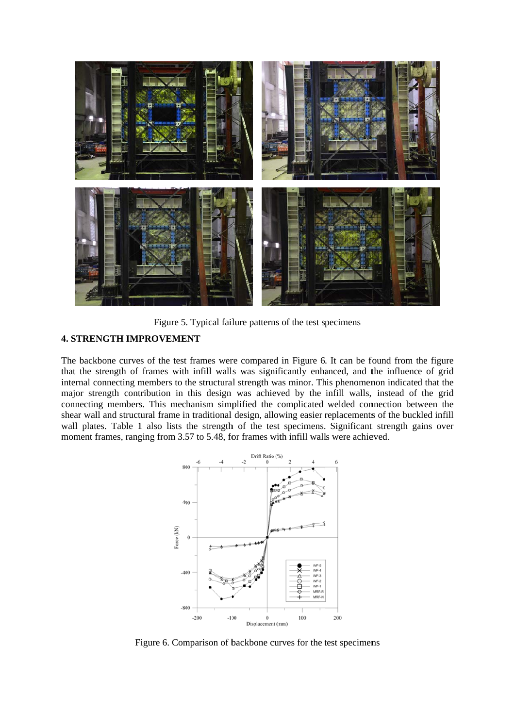

Figure 5. Typical failure patterns of the test specimens

## **4. STRENGTH IMPROVEMENT**

The backbone curves of the test frames were compared in Figure 6. It can be found from the figure that the strength of frames with infill walls was significantly enhanced, and the influence of grid internal connecting members to the structural strength was minor. This phenomenon indicated that the major strength contribution in this design was achieved by the infill walls, instead of the grid connecting members. This mechanism simplified the complicated welded connection between the shear wall and structural frame in traditional design, allowing easier replacements of the buckled infill wall plates. Table 1 also lists the strength of the test specimens. Significant strength gains over moment frames, ranging from 3.57 to 5.48, for frames with infill walls were achieved.



Figure 6. Comparison of backbone curves for the test specimens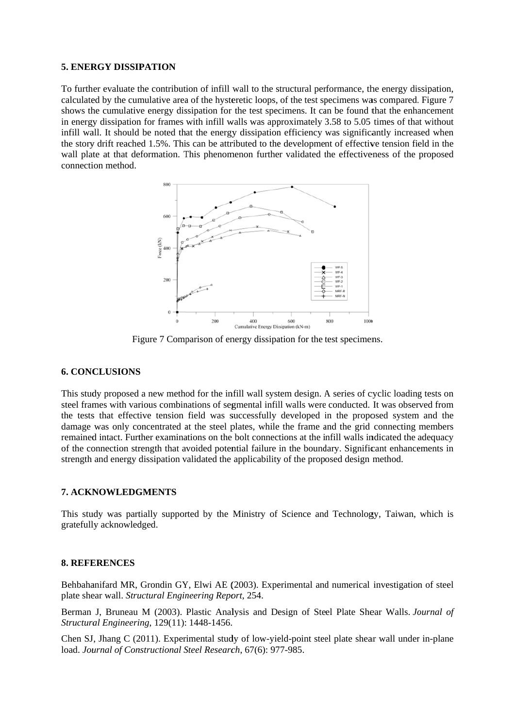## **5. ENERGY DISSIPATION**

To further evaluate the contribution of infill wall to the structural performance, the energy dissipation, calculated by the cumulative area of the hysteretic loops, of the test specimens was compared. Figure 7 shows the cumulative energy dissipation for the test specimens. It can be found that the enhancement in energy dissipation for frames with infill walls was approximately 3.58 to 5.05 times of that without infill wall. It should be noted that the energy dissipation efficiency was significantly increased when the story drift reached 1.5%. This can be attributed to the development of effective tension field in the wall plate at that deformation. This phenomenon further validated the effectiveness of the proposed connection method.



Figure 7 Comparison of energy dissipation for the test specimens.

## **6. CONCLUSIONS**

This study proposed a new method for the infill wall system design. A series of cyclic loading tests on steel frames with various combinations of segmental infill walls were conducted. It was observed from the tests that effective tension field was successfully developed in the proposed system and the damage was only concentrated at the steel plates, while the frame and the grid connecting members remained intact. Further examinations on the bolt connections at the infill walls indicated the adequacy of the connection strength that avoided potential failure in the boundary. Significant enhancements in strength and energy dissipation validated the applicability of the proposed design method.

## 7. ACKNOWLEDGMENTS

This study was partially supported by the Ministry of Science and Technology, Taiwan, which is gratefully acknowledged.

## **8. REFERENCES**

Behbahanifard MR, Grondin GY, Elwi AE (2003). Experimental and numerical investigation of steel plate shear wall. Structural Engineering Report, 254.

Berman J, Bruneau M (2003). Plastic Analysis and Design of Steel Plate Shear Walls. Journal of Structural Engineering, 129(11): 1448-1456.

Chen SJ, Jhang C (2011). Experimental study of low-vield-point steel plate shear wall under in-plane load. Journal of Constructional Steel Research, 67(6): 977-985.